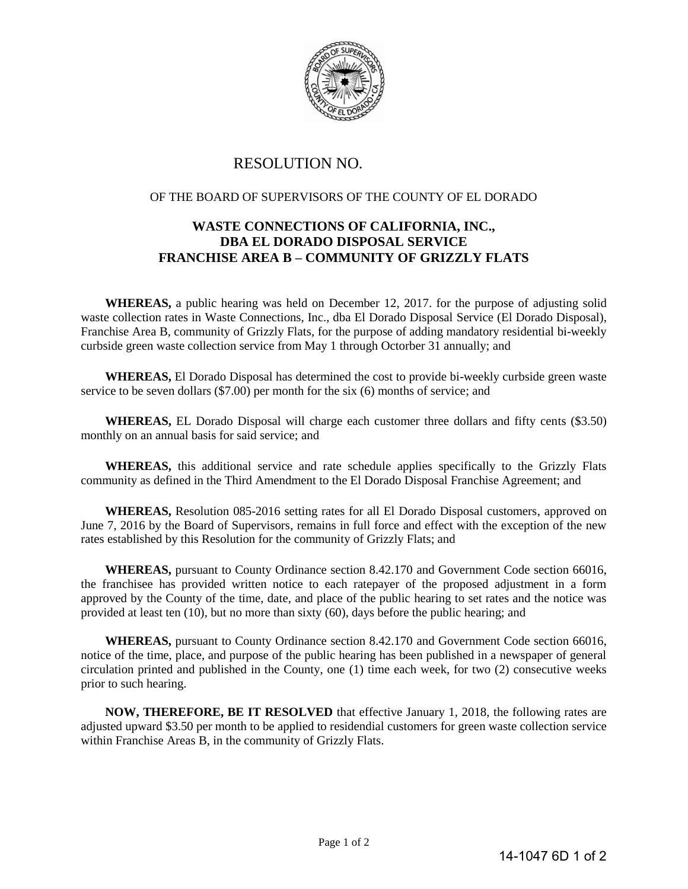

## RESOLUTION NO.

## OF THE BOARD OF SUPERVISORS OF THE COUNTY OF EL DORADO

## **WASTE CONNECTIONS OF CALIFORNIA, INC., DBA EL DORADO DISPOSAL SERVICE FRANCHISE AREA B – COMMUNITY OF GRIZZLY FLATS**

**WHEREAS,** a public hearing was held on December 12, 2017. for the purpose of adjusting solid waste collection rates in Waste Connections, Inc., dba El Dorado Disposal Service (El Dorado Disposal), Franchise Area B, community of Grizzly Flats, for the purpose of adding mandatory residential bi-weekly curbside green waste collection service from May 1 through Octorber 31 annually; and

**WHEREAS,** El Dorado Disposal has determined the cost to provide bi-weekly curbside green waste service to be seven dollars (\$7.00) per month for the six (6) months of service; and

**WHEREAS,** EL Dorado Disposal will charge each customer three dollars and fifty cents (\$3.50) monthly on an annual basis for said service; and

**WHEREAS,** this additional service and rate schedule applies specifically to the Grizzly Flats community as defined in the Third Amendment to the El Dorado Disposal Franchise Agreement; and

 **WHEREAS,** Resolution 085-2016 setting rates for all El Dorado Disposal customers, approved on June 7, 2016 by the Board of Supervisors, remains in full force and effect with the exception of the new rates established by this Resolution for the community of Grizzly Flats; and

 **WHEREAS,** pursuant to County Ordinance section 8.42.170 and Government Code section 66016, the franchisee has provided written notice to each ratepayer of the proposed adjustment in a form approved by the County of the time, date, and place of the public hearing to set rates and the notice was provided at least ten (10), but no more than sixty (60), days before the public hearing; and

 **WHEREAS,** pursuant to County Ordinance section 8.42.170 and Government Code section 66016, notice of the time, place, and purpose of the public hearing has been published in a newspaper of general circulation printed and published in the County, one (1) time each week, for two (2) consecutive weeks prior to such hearing.

 **NOW, THEREFORE, BE IT RESOLVED** that effective January 1, 2018, the following rates are adjusted upward \$3.50 per month to be applied to residendial customers for green waste collection service within Franchise Areas B, in the community of Grizzly Flats.